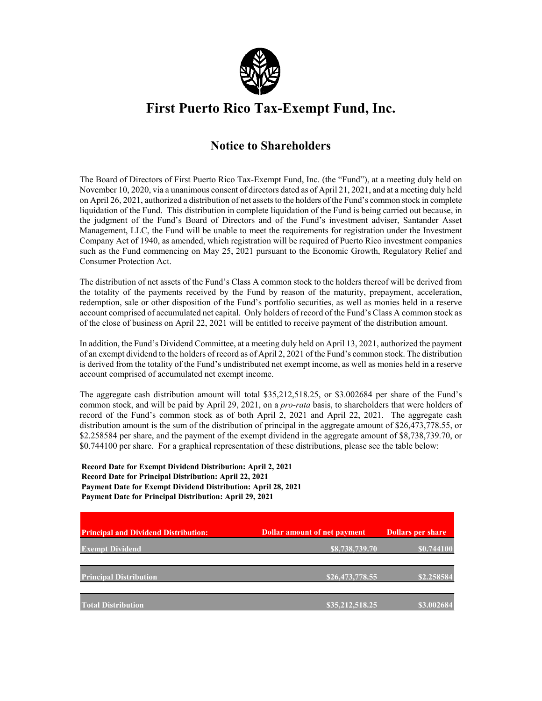

## **First Puerto Rico Tax-Exempt Fund, Inc.**

## **Notice to Shareholders**

The Board of Directors of First Puerto Rico Tax-Exempt Fund, Inc. (the "Fund"), at a meeting duly held on November 10, 2020, via a unanimous consent of directors dated as of April 21, 2021, and at a meeting duly held on April 26, 2021, authorized a distribution of net assets to the holders of the Fund's common stock in complete liquidation of the Fund. This distribution in complete liquidation of the Fund is being carried out because, in the judgment of the Fund's Board of Directors and of the Fund's investment adviser, Santander Asset Management, LLC, the Fund will be unable to meet the requirements for registration under the Investment Company Act of 1940, as amended, which registration will be required of Puerto Rico investment companies such as the Fund commencing on May 25, 2021 pursuant to the Economic Growth, Regulatory Relief and Consumer Protection Act.

The distribution of net assets of the Fund's Class A common stock to the holders thereof will be derived from the totality of the payments received by the Fund by reason of the maturity, prepayment, acceleration, redemption, sale or other disposition of the Fund's portfolio securities, as well as monies held in a reserve account comprised of accumulated net capital. Only holders of record of the Fund's Class A common stock as of the close of business on April 22, 2021 will be entitled to receive payment of the distribution amount.

In addition, the Fund's Dividend Committee, at a meeting duly held on April 13, 2021, authorized the payment of an exempt dividend to the holders of record as of April 2, 2021 of the Fund's common stock. The distribution is derived from the totality of the Fund's undistributed net exempt income, as well as monies held in a reserve account comprised of accumulated net exempt income.

The aggregate cash distribution amount will total \$35,212,518.25, or \$3.002684 per share of the Fund's common stock, and will be paid by April 29, 2021, on a *pro-rata* basis, to shareholders that were holders of record of the Fund's common stock as of both April 2, 2021 and April 22, 2021. The aggregate cash distribution amount is the sum of the distribution of principal in the aggregate amount of \$26,473,778.55, or \$2.258584 per share, and the payment of the exempt dividend in the aggregate amount of \$8,738,739.70, or \$0.744100 per share. For a graphical representation of these distributions, please see the table below:

**Record Date for Exempt Dividend Distribution: April 2, 2021 Record Date for Principal Distribution: April 22, 2021 Payment Date for Exempt Dividend Distribution: April 28, 2021 Payment Date for Principal Distribution: April 29, 2021**

| <b>Principal and Dividend Distribution:</b> | Dollar amount of net payment | <b>Dollars per share</b> |
|---------------------------------------------|------------------------------|--------------------------|
| <b>Exempt Dividend</b>                      | 88,738,739.70                | \$0.744100               |
| <b>Principal Distribution</b>               | \$26,473,778.55              | \$2.258584               |
| <b>Total Distribution</b>                   | \$35,212,518.25              | \$3.002684               |